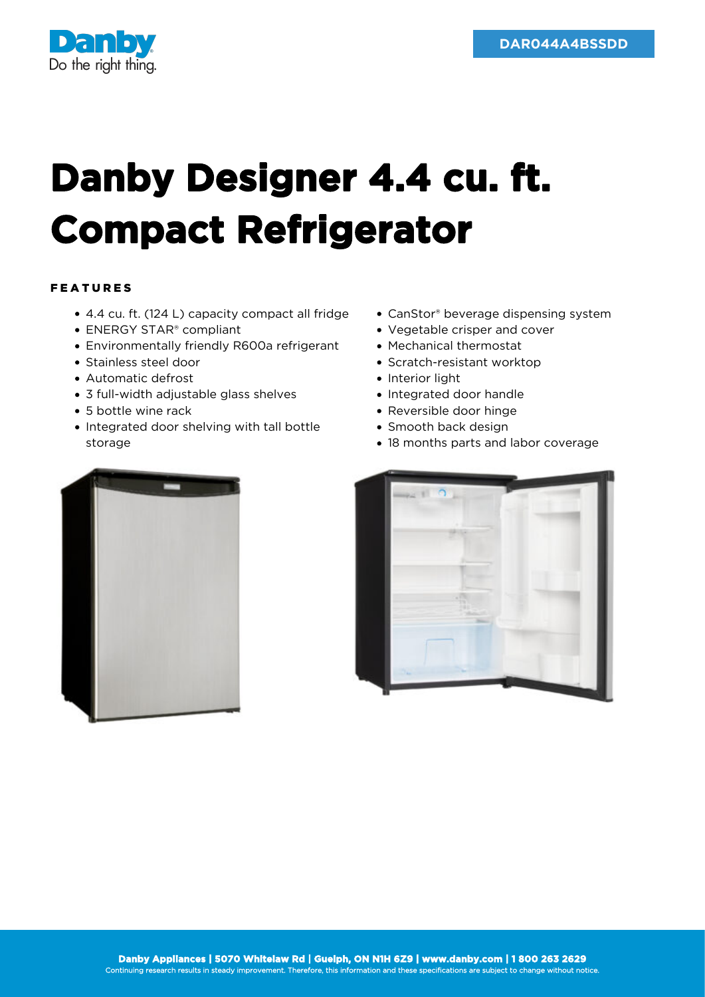

## **Danby Designer 4.4 cu. ft. Compact Refrigerator**

## FEATURES

- 4.4 cu. ft. (124 L) capacity compact all fridge
- ENERGY STAR<sup>®</sup> compliant
- Environmentally friendly R600a refrigerant
- Stainless steel door
- Automatic defrost
- 3 full-width adjustable glass shelves
- 5 bottle wine rack
- Integrated door shelving with tall bottle storage
- CanStor® beverage dispensing system
- Vegetable crisper and cover
- Mechanical thermostat
- Scratch-resistant worktop
- Interior light
- Integrated door handle
- Reversible door hinge
- Smooth back design
- 18 months parts and labor coverage